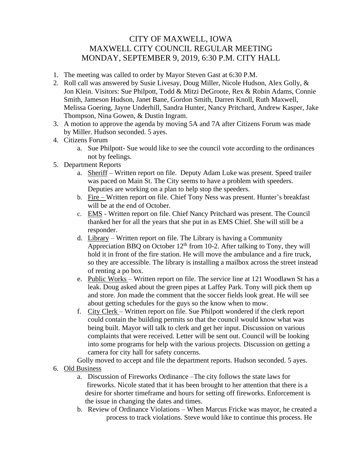## CITY OF MAXWELL, IOWA MAXWELL CITY COUNCIL REGULAR MEETING MONDAY, SEPTEMBER 9, 2019, 6:30 P.M. CITY HALL

- 1. The meeting was called to order by Mayor Steven Gast at 6:30 P.M.
- 2. Roll call was answered by Susie Livesay, Doug Miller, Nicole Hudson, Alex Golly, & Jon Klein. Visitors: Sue Philpott, Todd & Mitzi DeGroote, Rex & Robin Adams, Connie Smith, Jameson Hudson, Janet Bane, Gordon Smith, Darren Knoll, Ruth Maxwell, Melissa Goering, Jayne Underhill, Sandra Hunter, Nancy Pritchard, Andrew Kasper, Jake Thompson, Nina Gowen, & Dustin Ingram.
- 3. A motion to approve the agenda by moving 5A and 7A after Citizens Forum was made by Miller. Hudson seconded. 5 ayes.
- 4. Citizens Forum
	- a. Sue Philpott- Sue would like to see the council vote according to the ordinances not by feelings.
- 5. Department Reports
	- a. Sheriff Written report on file. Deputy Adam Luke was present. Speed trailer was paced on Main St. The City seems to have a problem with speeders. Deputies are working on a plan to help stop the speeders.
	- b. Fire Written report on file. Chief Tony Ness was present. Hunter's breakfast will be at the end of October.
	- c. EMS Written report on file. Chief Nancy Pritchard was present. The Council thanked her for all the years that she put in as EMS Chief. She will still be a responder.
	- d. Library Written report on file. The Library is having a Community Appreciation BBQ on October  $12<sup>th</sup>$  from 10-2. After talking to Tony, they will hold it in front of the fire station. He will move the ambulance and a fire truck, so they are accessible. The library is installing a mailbox across the street instead of renting a po box.
	- e. Public Works Written report on file. The service line at 121 Woodlawn St has a leak. Doug asked about the green pipes at Laffey Park. Tony will pick them up and store. Jon made the comment that the soccer fields look great. He will see about getting schedules for the guys so the know when to mow.
	- f. City Clerk Written report on file. Sue Philpott wondered if the clerk report could contain the building permits so that the council would know what was being built. Mayor will talk to clerk and get her input. Discussion on various complaints that were received. Letter will be sent out. Council will be looking into some programs for help with the various projects. Discussion on getting a camera for city hall for safety concerns.

Golly moved to accept and file the department reports. Hudson seconded. 5 ayes.

- 6. Old Business
	- a. Discussion of Fireworks Ordinance –The city follows the state laws for fireworks. Nicole stated that it has been brought to her attention that there is a desire for shorter timeframe and hours for setting off fireworks. Enforcement is the issue in changing the dates and times.
	- b. Review of Ordinance Violations When Marcus Fricke was mayor, he created a process to track violations. Steve would like to continue this process. He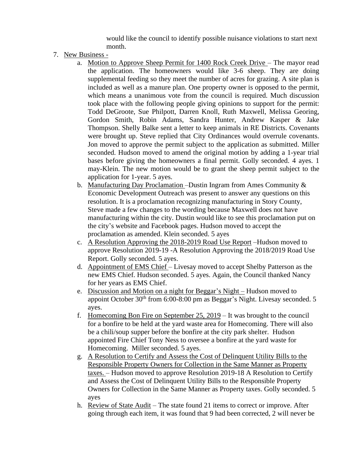would like the council to identify possible nuisance violations to start next month.

- 7. New Business
	- a. Motion to Approve Sheep Permit for 1400 Rock Creek Drive The mayor read the application. The homeowners would like 3-6 sheep. They are doing supplemental feeding so they meet the number of acres for grazing. A site plan is included as well as a manure plan. One property owner is opposed to the permit, which means a unanimous vote from the council is required. Much discussion took place with the following people giving opinions to support for the permit: Todd DeGroote, Sue Philpott, Darren Knoll, Ruth Maxwell, Melissa Georing, Gordon Smith, Robin Adams, Sandra Hunter, Andrew Kasper & Jake Thompson. Shelly Balke sent a letter to keep animals in RE Districts. Covenants were brought up. Steve replied that City Ordinances would overrule covenants. Jon moved to approve the permit subject to the application as submitted. Miller seconded. Hudson moved to amend the original motion by adding a 1-year trial bases before giving the homeowners a final permit. Golly seconded. 4 ayes. 1 may-Klein. The new motion would be to grant the sheep permit subject to the application for 1-year. 5 ayes.
	- b. Manufacturing Day Proclamation Dustin Ingram from Ames Community  $\&$ Economic Development Outreach was present to answer any questions on this resolution. It is a proclamation recognizing manufacturing in Story County, Steve made a few changes to the wording because Maxwell does not have manufacturing within the city. Dustin would like to see this proclamation put on the city's website and Facebook pages. Hudson moved to accept the proclamation as amended. Klein seconded. 5 ayes
	- c. A Resolution Approving the 2018-2019 Road Use Report –Hudson moved to approve Resolution 2019-19 -A Resolution Approving the 2018/2019 Road Use Report. Golly seconded. 5 ayes.
	- d. Appointment of EMS Chief Livesay moved to accept Shelby Patterson as the new EMS Chief. Hudson seconded. 5 ayes. Again, the Council thanked Nancy for her years as EMS Chief.
	- e. Discussion and Motion on a night for Beggar's Night Hudson moved to appoint October  $30<sup>th</sup>$  from 6:00-8:00 pm as Beggar's Night. Livesay seconded. 5 ayes.
	- f. Homecoming Bon Fire on September 25, 2019 It was brought to the council for a bonfire to be held at the yard waste area for Homecoming. There will also be a chili/soup supper before the bonfire at the city park shelter. Hudson appointed Fire Chief Tony Ness to oversee a bonfire at the yard waste for Homecoming. Miller seconded. 5 ayes.
	- g. A Resolution to Certify and Assess the Cost of Delinquent Utility Bills to the Responsible Property Owners for Collection in the Same Manner as Property taxes. – Hudson moved to approve Resolution 2019-18 A Resolution to Certify and Assess the Cost of Delinquent Utility Bills to the Responsible Property Owners for Collection in the Same Manner as Property taxes. Golly seconded. 5 ayes
	- h. Review of State Audit The state found 21 items to correct or improve. After going through each item, it was found that 9 had been corrected, 2 will never be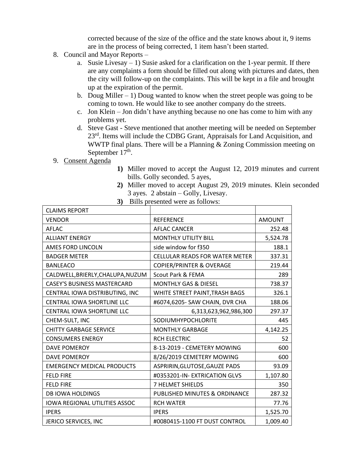corrected because of the size of the office and the state knows about it, 9 items are in the process of being corrected, 1 item hasn't been started.

- 8. Council and Mayor Reports
	- a. Susie Livesay 1) Susie asked for a clarification on the 1-year permit. If there are any complaints a form should be filled out along with pictures and dates, then the city will follow-up on the complaints. This will be kept in a file and brought up at the expiration of the permit.
	- b. Doug Miller  $-1$ ) Doug wanted to know when the street people was going to be coming to town. He would like to see another company do the streets.
	- c. Jon Klein Jon didn't have anything because no one has come to him with any problems yet.
	- d. Steve Gast Steve mentioned that another meeting will be needed on September 23<sup>rd</sup>. Items will include the CDBG Grant, Appraisals for Land Acquisition, and WWTP final plans. There will be a Planning & Zoning Commission meeting on September  $17<sup>th</sup>$ .
- 9. Consent Agenda
- **1)** Miller moved to accept the August 12, 2019 minutes and current bills. Golly seconded. 5 ayes,
- **2)** Miller moved to accept August 29, 2019 minutes. Klein seconded 3 ayes. 2 abstain – Golly, Livesay.
- **3)** Bills presented were as follows:

| <b>CLAIMS REPORT</b>                 |                                       |               |
|--------------------------------------|---------------------------------------|---------------|
| <b>VENDOR</b>                        | <b>REFERENCE</b>                      | <b>AMOUNT</b> |
| AFLAC                                | <b>AFLAC CANCER</b>                   | 252.48        |
| <b>ALLIANT ENERGY</b>                | <b>MONTHLY UTILITY BILL</b>           | 5,524.78      |
| <b>AMES FORD LINCOLN</b>             | side window for f350                  | 188.1         |
| <b>BADGER METER</b>                  | <b>CELLULAR READS FOR WATER METER</b> | 337.31        |
| <b>BANLEACO</b>                      | <b>COPIER/PRINTER &amp; OVERAGE</b>   | 219.44        |
| CALDWELL, BRIERLY, CHALUPA, NUZUM    | Scout Park & FEMA                     | 289           |
| <b>CASEY'S BUSINESS MASTERCARD</b>   | <b>MONTHLY GAS &amp; DIESEL</b>       | 738.37        |
| CENTRAL IOWA DISTRIBUTING, INC       | WHITE STREET PAINT, TRASH BAGS        | 326.1         |
| <b>CENTRAL IOWA SHORTLINE LLC</b>    | #6074,6205- SAW CHAIN, DVR CHA        | 188.06        |
| <b>CENTRAL IOWA SHORTLINE LLC</b>    | 6,313,623,962,986,300                 | 297.37        |
| CHEM-SULT, INC                       | SODIUMHYPOCHLORITE                    | 445           |
| <b>CHITTY GARBAGE SERVICE</b>        | <b>MONTHLY GARBAGE</b>                | 4,142.25      |
| <b>CONSUMERS ENERGY</b>              | <b>RCH ELECTRIC</b>                   | 52            |
| <b>DAVE POMEROY</b>                  | 8-13-2019 - CEMETERY MOWING           | 600           |
| DAVE POMEROY                         | 8/26/2019 CEMETERY MOWING             | 600           |
| <b>EMERGENCY MEDICAL PRODUCTS</b>    | ASPRIRIN, GLUTOSE, GAUZE PADS         | 93.09         |
| <b>FELD FIRE</b>                     | #0353201-IN- EXTRICATION GLVS         | 1,107.80      |
| <b>FELD FIRE</b>                     | 7 HELMET SHIELDS                      | 350           |
| <b>DB IOWA HOLDINGS</b>              | PUBLISHED MINUTES & ORDINANCE         | 287.32        |
| <b>IOWA REGIONAL UTILITIES ASSOC</b> | <b>RCH WATER</b>                      | 77.76         |
| <b>IPERS</b>                         | <b>IPERS</b>                          | 1,525.70      |
| JERICO SERVICES, INC                 | #0080415-1100 FT DUST CONTROL         | 1,009.40      |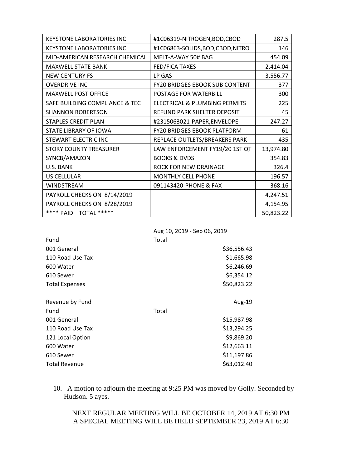| <b>KEYSTONE LABORATORIES INC</b> | #1C06319-NITROGEN, BOD, CBOD          | 287.5     |
|----------------------------------|---------------------------------------|-----------|
| <b>KEYSTONE LABORATORIES INC</b> | #1C06863-SOLIDS, BOD, CBOD, NITRO     | 146       |
| MID-AMERICAN RESEARCH CHEMICAL   | MELT-A-WAY 50# BAG                    | 454.09    |
| <b>MAXWELL STATE BANK</b>        | FED/FICA TAXES                        | 2,414.04  |
| <b>NEW CENTURY FS</b>            | LP GAS                                | 3,556.77  |
| <b>OVERDRIVE INC</b>             | <b>FY20 BRIDGES EBOOK SUB CONTENT</b> | 377       |
| <b>MAXWELL POST OFFICE</b>       | POSTAGE FOR WATERBILL                 | 300       |
| SAFE BUILDING COMPLIANCE & TEC   | ELECTRICAL & PLUMBING PERMITS         | 225       |
| <b>SHANNON ROBERTSON</b>         | REFUND PARK SHELTER DEPOSIT           | 45        |
| <b>STAPLES CREDIT PLAN</b>       | #2315063021-PAPER,ENVELOPE            | 247.27    |
| STATE LIBRARY OF IOWA            | <b>FY20 BRIDGES EBOOK PLATFORM</b>    | 61        |
| STEWART ELECTRIC INC             | REPLACE OUTLETS/BREAKERS PARK         | 435       |
| <b>STORY COUNTY TREASURER</b>    | LAW ENFORCEMENT FY19/20 1ST QT        | 13,974.80 |
| SYNCB/AMAZON                     | <b>BOOKS &amp; DVDS</b>               | 354.83    |
| U.S. BANK                        | ROCK FOR NEW DRAINAGE                 | 326.4     |
| <b>US CELLULAR</b>               | <b>MONTHLY CELL PHONE</b>             | 196.57    |
| <b>WINDSTREAM</b>                | 091143420-PHONE & FAX                 | 368.16    |
| PAYROLL CHECKS ON 8/14/2019      |                                       | 4,247.51  |
| PAYROLL CHECKS ON 8/28/2019      |                                       | 4,154.95  |
| **** PAID<br>TOTAL *****         |                                       | 50,823.22 |

|  |  |  | Aug 10, 2019 - Sep 06, 2019 |
|--|--|--|-----------------------------|
|--|--|--|-----------------------------|

| Fund                  | Total       |
|-----------------------|-------------|
| 001 General           | \$36,556.43 |
| 110 Road Use Tax      | \$1,665.98  |
| 600 Water             | \$6,246.69  |
| 610 Sewer             | \$6,354.12  |
| <b>Total Expenses</b> | \$50,823.22 |
|                       |             |
| Revenue by Fund       | Aug-19      |
| Fund                  | Total       |
| 001 General           | \$15,987.98 |
| 110 Road Use Tax      | \$13,294.25 |
| 121 Local Option      | \$9,869.20  |
| 600 Water             | \$12,663.11 |
| 610 Sewer             | \$11,197.86 |
| <b>Total Revenue</b>  | \$63,012.40 |
|                       |             |

10. A motion to adjourn the meeting at 9:25 PM was moved by Golly. Seconded by Hudson. 5 ayes.

NEXT REGULAR MEETING WILL BE OCTOBER 14, 2019 AT 6:30 PM A SPECIAL MEETING WILL BE HELD SEPTEMBER 23, 2019 AT 6:30